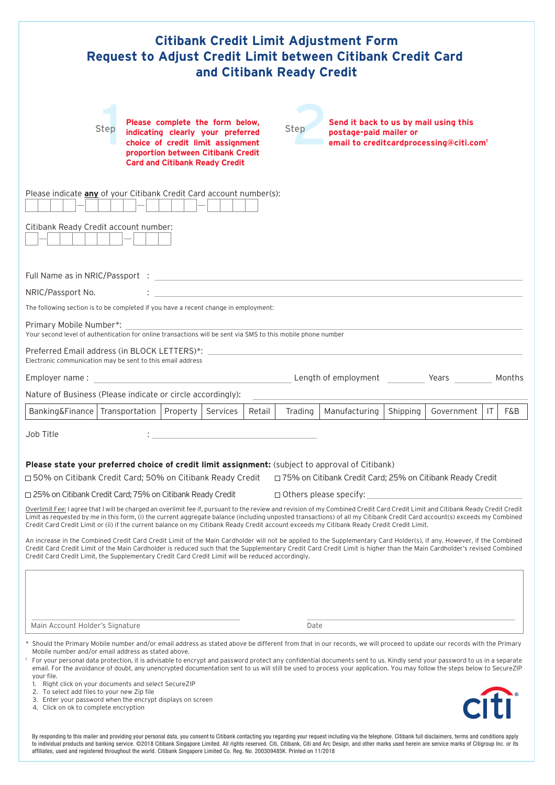| <b>Citibank Credit Limit Adjustment Form</b><br>Request to Adjust Credit Limit between Citibank Credit Card<br>and Citibank Ready Credit                                                                                                                                                                                                                                                                                                                                                                                                                                                                                                                                                                              |  |
|-----------------------------------------------------------------------------------------------------------------------------------------------------------------------------------------------------------------------------------------------------------------------------------------------------------------------------------------------------------------------------------------------------------------------------------------------------------------------------------------------------------------------------------------------------------------------------------------------------------------------------------------------------------------------------------------------------------------------|--|
| Please complete the form below,<br>Send it back to us by mail using this<br>Step<br>Step<br>indicating clearly your preferred<br>postage-paid mailer or<br>choice of credit limit assignment<br>email to creditcardprocessing@citi.com <sup>1</sup><br>proportion between Citibank Credit<br><b>Card and Citibank Ready Credit</b>                                                                                                                                                                                                                                                                                                                                                                                    |  |
| Please indicate any of your Citibank Credit Card account number(s):<br>Citibank Ready Credit account number:                                                                                                                                                                                                                                                                                                                                                                                                                                                                                                                                                                                                          |  |
| Full Name as in NRIC/Passport : the contract of the contract of the contract of the contract of the contract of the contract of the contract of the contract of the contract of the contract of the contract of the contract o<br>NRIC/Passport No.<br>The following section is to be completed if you have a recent change in employment:<br>Primary Mobile Number*:<br>Your second level of authentication for online transactions will be sent via SMS to this mobile phone number<br>Preferred Email address (in BLOCK LETTERS)*:                                                                                                                                                                                 |  |
| Electronic communication may be sent to this email address<br>Length of employment Years<br><u> 1980 - Johann Barbara, martxa alemaniar a</u><br>Months<br>Employer name:                                                                                                                                                                                                                                                                                                                                                                                                                                                                                                                                             |  |
| Nature of Business (Please indicate or circle accordingly):                                                                                                                                                                                                                                                                                                                                                                                                                                                                                                                                                                                                                                                           |  |
| Banking&Finance   Transportation   Property  <br>Retail<br>Trading<br>Manufacturing<br>Shipping<br>IT.<br>Services<br>Government<br>F&B                                                                                                                                                                                                                                                                                                                                                                                                                                                                                                                                                                               |  |
| Job Title                                                                                                                                                                                                                                                                                                                                                                                                                                                                                                                                                                                                                                                                                                             |  |
| Please state your preferred choice of credit limit assignment: (subject to approval of Citibank)<br>□ 50% on Citibank Credit Card; 50% on Citibank Ready Credit<br>□ 75% on Citibank Credit Card; 25% on Citibank Ready Credit                                                                                                                                                                                                                                                                                                                                                                                                                                                                                        |  |
| □ 25% on Citibank Credit Card; 75% on Citibank Ready Credit<br>$\Box$ Others please specify: $\Box$                                                                                                                                                                                                                                                                                                                                                                                                                                                                                                                                                                                                                   |  |
| Overlimit Fee: I agree that I will be charged an overlimit fee if, pursuant to the review and revision of my Combined Credit Card Credit Limit and Citibank Ready Credit Credit<br>Limit as requested by me in this form, (i) the current aggregate balance (including unposted transactions) of all my Citibank Credit Card account(s) exceeds my Combined<br>Credit Card Credit Limit or (ii) if the current balance on my Citibank Ready Credit account exceeds my Citibank Ready Credit Credit Limit.                                                                                                                                                                                                             |  |
| An increase in the Combined Credit Card Credit Limit of the Main Cardholder will not be applied to the Supplementary Card Holder(s), if any. However, if the Combined<br>Credit Card Credit Limit of the Main Cardholder is reduced such that the Supplementary Credit Card Credit Limit is higher than the Main Cardholder's revised Combined<br>Credit Card Credit Limit, the Supplementary Credit Card Credit Limit will be reduced accordingly.                                                                                                                                                                                                                                                                   |  |
| Main Account Holder's Signature<br>Date                                                                                                                                                                                                                                                                                                                                                                                                                                                                                                                                                                                                                                                                               |  |
| * Should the Primary Mobile number and/or email address as stated above be different from that in our records, we will proceed to update our records with the Primary<br>Mobile number and/or email address as stated above.<br><sup>1</sup> For your personal data protection, it is advisable to encrypt and password protect any confidential documents sent to us. Kindly send your password to us in a separate<br>email. For the avoidance of doubt, any unencrypted documentation sent to us will still be used to process your application. You may follow the steps below to SecureZIP<br>your file.<br>1. Right click on your documents and select SecureZIP<br>2. To select add files to your new Zip file |  |
| riti<br>3. Enter your password when the encrypt displays on screen<br>4. Click on ok to complete encryption<br>By responding to this mailer and providing your personal data, you consent to Citibank contacting you regarding your request including via the telephone. Citibank full disclaimers, terms and conditions apply                                                                                                                                                                                                                                                                                                                                                                                        |  |

By responding to this mailer and providing your personal data, you consent to Citibank contacting you regarding your request including via the telephone. Citibank full disclaimers, terms and conditions apply<br>to individual